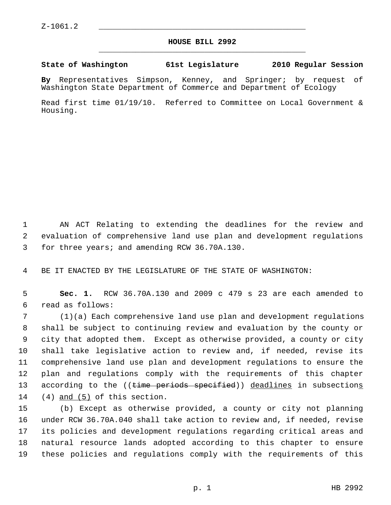## **HOUSE BILL 2992** \_\_\_\_\_\_\_\_\_\_\_\_\_\_\_\_\_\_\_\_\_\_\_\_\_\_\_\_\_\_\_\_\_\_\_\_\_\_\_\_\_\_\_\_\_

## **State of Washington 61st Legislature 2010 Regular Session**

**By** Representatives Simpson, Kenney, and Springer; by request of Washington State Department of Commerce and Department of Ecology

Read first time 01/19/10. Referred to Committee on Local Government & Housing.

 1 AN ACT Relating to extending the deadlines for the review and 2 evaluation of comprehensive land use plan and development regulations 3 for three years; and amending RCW 36.70A.130.

4 BE IT ENACTED BY THE LEGISLATURE OF THE STATE OF WASHINGTON:

 5 **Sec. 1.** RCW 36.70A.130 and 2009 c 479 s 23 are each amended to 6 read as follows:

 7 (1)(a) Each comprehensive land use plan and development regulations 8 shall be subject to continuing review and evaluation by the county or 9 city that adopted them. Except as otherwise provided, a county or city 10 shall take legislative action to review and, if needed, revise its 11 comprehensive land use plan and development regulations to ensure the 12 plan and regulations comply with the requirements of this chapter 13 according to the ((time periods specified)) deadlines in subsections 14 (4) and (5) of this section.

15 (b) Except as otherwise provided, a county or city not planning 16 under RCW 36.70A.040 shall take action to review and, if needed, revise 17 its policies and development regulations regarding critical areas and 18 natural resource lands adopted according to this chapter to ensure 19 these policies and regulations comply with the requirements of this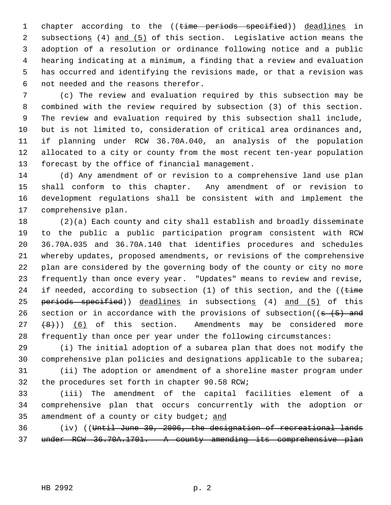1 chapter according to the ((time periods specified)) deadlines in 2 subsections (4) and (5) of this section. Legislative action means the 3 adoption of a resolution or ordinance following notice and a public 4 hearing indicating at a minimum, a finding that a review and evaluation 5 has occurred and identifying the revisions made, or that a revision was 6 not needed and the reasons therefor.

 7 (c) The review and evaluation required by this subsection may be 8 combined with the review required by subsection (3) of this section. 9 The review and evaluation required by this subsection shall include, 10 but is not limited to, consideration of critical area ordinances and, 11 if planning under RCW 36.70A.040, an analysis of the population 12 allocated to a city or county from the most recent ten-year population 13 forecast by the office of financial management.

14 (d) Any amendment of or revision to a comprehensive land use plan 15 shall conform to this chapter. Any amendment of or revision to 16 development regulations shall be consistent with and implement the 17 comprehensive plan.

18 (2)(a) Each county and city shall establish and broadly disseminate 19 to the public a public participation program consistent with RCW 20 36.70A.035 and 36.70A.140 that identifies procedures and schedules 21 whereby updates, proposed amendments, or revisions of the comprehensive 22 plan are considered by the governing body of the county or city no more 23 frequently than once every year. "Updates" means to review and revise, 24 if needed, according to subsection  $(1)$  of this section, and the  $($  (time 25 periods specified)) deadlines in subsections (4) and (5) of this 26 section or in accordance with the provisions of subsection( $(s - (5)$  and  $27 +8)$ ) (6) of this section. Amendments may be considered more 28 frequently than once per year under the following circumstances:

29 (i) The initial adoption of a subarea plan that does not modify the 30 comprehensive plan policies and designations applicable to the subarea; 31 (ii) The adoption or amendment of a shoreline master program under

32 the procedures set forth in chapter 90.58 RCW;

33 (iii) The amendment of the capital facilities element of a 34 comprehensive plan that occurs concurrently with the adoption or 35 amendment of a county or city budget; and

36 (iv) ((Until June 30, 2006, the designation of recreational lands 37 under RCW 36.70A.1701. A county amending its comprehensive plan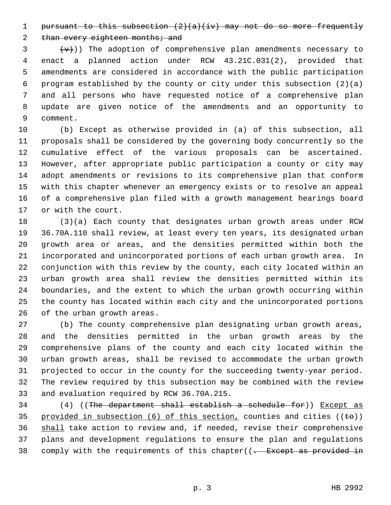1 pursuant to this subsection  $(2)(a)(iv)$  may not do so more frequently

2 than every eighteen months; and

 $\{\overline{v}\}\$  ( $\{\overline{v}\}\$ )) The adoption of comprehensive plan amendments necessary to 4 enact a planned action under RCW 43.21C.031(2), provided that 5 amendments are considered in accordance with the public participation 6 program established by the county or city under this subsection (2)(a) 7 and all persons who have requested notice of a comprehensive plan 8 update are given notice of the amendments and an opportunity to 9 comment.

10 (b) Except as otherwise provided in (a) of this subsection, all 11 proposals shall be considered by the governing body concurrently so the 12 cumulative effect of the various proposals can be ascertained. 13 However, after appropriate public participation a county or city may 14 adopt amendments or revisions to its comprehensive plan that conform 15 with this chapter whenever an emergency exists or to resolve an appeal 16 of a comprehensive plan filed with a growth management hearings board 17 or with the court.

18 (3)(a) Each county that designates urban growth areas under RCW 19 36.70A.110 shall review, at least every ten years, its designated urban 20 growth area or areas, and the densities permitted within both the 21 incorporated and unincorporated portions of each urban growth area. In 22 conjunction with this review by the county, each city located within an 23 urban growth area shall review the densities permitted within its 24 boundaries, and the extent to which the urban growth occurring within 25 the county has located within each city and the unincorporated portions 26 of the urban growth areas.

27 (b) The county comprehensive plan designating urban growth areas, 28 and the densities permitted in the urban growth areas by the 29 comprehensive plans of the county and each city located within the 30 urban growth areas, shall be revised to accommodate the urban growth 31 projected to occur in the county for the succeeding twenty-year period. 32 The review required by this subsection may be combined with the review 33 and evaluation required by RCW 36.70A.215.

34 (4) ((The department shall establish a schedule for)) Except as 35 provided in subsection (6) of this section, counties and cities ( $(\pm \theta)$ ) 36 shall take action to review and, if needed, revise their comprehensive 37 plans and development regulations to ensure the plan and regulations 38 comply with the requirements of this chapter((<del>. Except as provided in</del>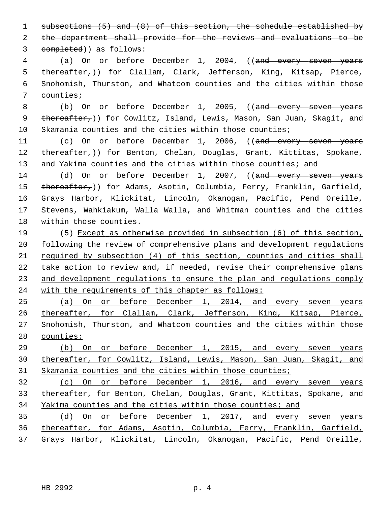1 subsections (5) and (8) of this section, the schedule established by 2 the department shall provide for the reviews and evaluations to be

3 completed)) as follows:

4 (a) On or before December 1, 2004, ((and every seven years 5 thereafter,)) for Clallam, Clark, Jefferson, King, Kitsap, Pierce, 6 Snohomish, Thurston, and Whatcom counties and the cities within those 7 counties;

8 (b) On or before December 1, 2005, ((and every seven years 9 thereafter,)) for Cowlitz, Island, Lewis, Mason, San Juan, Skagit, and 10 Skamania counties and the cities within those counties;

11 (c) On or before December 1, 2006, ((and every seven years 12 thereafter,)) for Benton, Chelan, Douglas, Grant, Kittitas, Spokane, 13 and Yakima counties and the cities within those counties; and

14 (d) On or before December 1, 2007, ((and every seven years 15 thereafter,)) for Adams, Asotin, Columbia, Ferry, Franklin, Garfield, 16 Grays Harbor, Klickitat, Lincoln, Okanogan, Pacific, Pend Oreille, 17 Stevens, Wahkiakum, Walla Walla, and Whitman counties and the cities 18 within those counties.

19 (5) Except as otherwise provided in subsection (6) of this section, following the review of comprehensive plans and development regulations required by subsection (4) of this section, counties and cities shall 22 take action to review and, if needed, revise their comprehensive plans and development regulations to ensure the plan and regulations comply with the requirements of this chapter as follows:

 (a) On or before December 1, 2014, and every seven years 26 thereafter, for Clallam, Clark, Jefferson, King, Kitsap, Pierce, Snohomish, Thurston, and Whatcom counties and the cities within those counties;

29 (b) On or before December 1, 2015, and every seven years 30 thereafter, for Cowlitz, Island, Lewis, Mason, San Juan, Skagit, and 31 Skamania counties and the cities within those counties;

32 (c) On or before December 1, 2016, and every seven years 33 thereafter, for Benton, Chelan, Douglas, Grant, Kittitas, Spokane, and 34 Yakima counties and the cities within those counties; and

35 (d) On or before December 1, 2017, and every seven years 36 thereafter, for Adams, Asotin, Columbia, Ferry, Franklin, Garfield, 37 Grays Harbor, Klickitat, Lincoln, Okanogan, Pacific, Pend Oreille,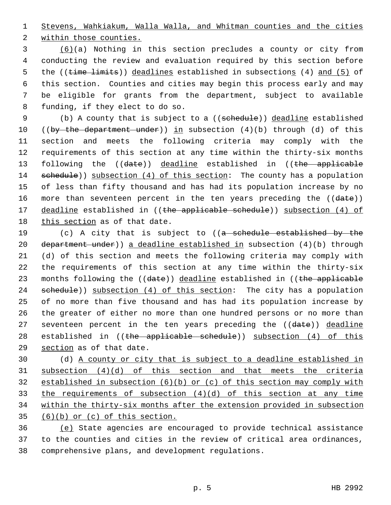1 Stevens, Wahkiakum, Walla Walla, and Whitman counties and the cities

2 within those counties.

 3 (6)(a) Nothing in this section precludes a county or city from 4 conducting the review and evaluation required by this section before 5 the ((time limits)) deadlines established in subsections (4) and (5) of 6 this section. Counties and cities may begin this process early and may 7 be eligible for grants from the department, subject to available 8 funding, if they elect to do so.

9 (b) A county that is subject to a ((schedule)) deadline established 10 ((by the department under)) in subsection  $(4)(b)$  through  $(d)$  of this 11 section and meets the following criteria may comply with the 12 requirements of this section at any time within the thirty-six months 13 following the ((date)) deadline established in ((the applicable 14 schedule)) subsection (4) of this section: The county has a population 15 of less than fifty thousand and has had its population increase by no 16 more than seventeen percent in the ten years preceding the ((date)) 17 deadline established in ((the applicable schedule)) subsection (4) of 18 this section as of that date.

19 (c) A city that is subject to ((a schedule established by the 20 department under)) a deadline established in subsection  $(4)(b)$  through 21 (d) of this section and meets the following criteria may comply with 22 the requirements of this section at any time within the thirty-six 23 months following the ((date)) deadline established in ((the applicable 24 schedule)) subsection (4) of this section: The city has a population 25 of no more than five thousand and has had its population increase by 26 the greater of either no more than one hundred persons or no more than 27 seventeen percent in the ten years preceding the ((date)) deadline 28 established in ((the applicable schedule)) subsection (4) of this 29 section as of that date.

30 (d) A county or city that is subject to a deadline established in subsection (4)(d) of this section and that meets the criteria established in subsection (6)(b) or (c) of this section may comply with the requirements of subsection (4)(d) of this section at any time within the thirty-six months after the extension provided in subsection  $(6)(b)$  or  $(c)$  of this section.

36 (e) State agencies are encouraged to provide technical assistance 37 to the counties and cities in the review of critical area ordinances, 38 comprehensive plans, and development regulations.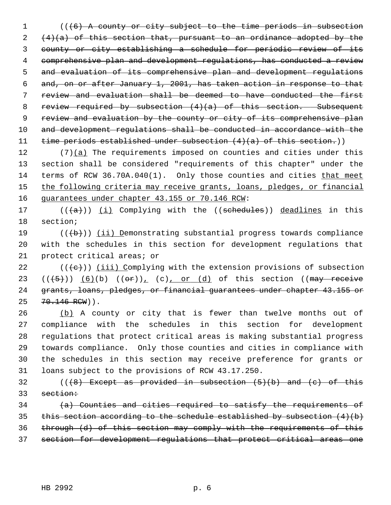1 (((6) A county or city subject to the time periods in subsection  $2 + (4)(a)$  of this section that, pursuant to an ordinance adopted by the 3 county or city establishing a schedule for periodic review of its 4 comprehensive plan and development regulations, has conducted a review 5 and evaluation of its comprehensive plan and development regulations 6 and, on or after January 1, 2001, has taken action in response to that 7 review and evaluation shall be deemed to have conducted the first 8 review required by subsection (4)(a) of this section. Subsequent 9 review and evaluation by the county or city of its comprehensive plan 10 and development regulations shall be conducted in accordance with the 11 time periods established under subsection (4)(a) of this section.))

12 (7)(a) The requirements imposed on counties and cities under this 13 section shall be considered "requirements of this chapter" under the 14 terms of RCW 36.70A.040(1). Only those counties and cities that meet 15 the following criteria may receive grants, loans, pledges, or financial 16 guarantees under chapter 43.155 or 70.146 RCW:

17  $((+a))$  (i) Complying with the ((schedules)) deadlines in this 18 section;

19  $((+b))$  (ii) Demonstrating substantial progress towards compliance 20 with the schedules in this section for development regulations that 21 protect critical areas; or

 $((\{e\})$  (iii) Complying with the extension provisions of subsection  $((+5))$   $(6)(b)$   $((\theta f))_L$   $(c)$  or  $(d)$  of this section ((may receive grants, loans, pledges, or financial guarantees under chapter 43.155 or 25 70.146 RCW)).

26 (b) A county or city that is fewer than twelve months out of 27 compliance with the schedules in this section for development 28 regulations that protect critical areas is making substantial progress 29 towards compliance. Only those counties and cities in compliance with 30 the schedules in this section may receive preference for grants or 31 loans subject to the provisions of RCW 43.17.250.

32 ( $($ ( $\{$ 8) Except as provided in subsection  $(5)$ (b) and  $(e)$  of this 33 section:

 $(a)$  Counties and cities required to satisfy the requirements of 35 this section according to the schedule established by subsection  $(4)(b)$ 36 through (d) of this section may comply with the requirements of this 37 section for development regulations that protect critical areas one